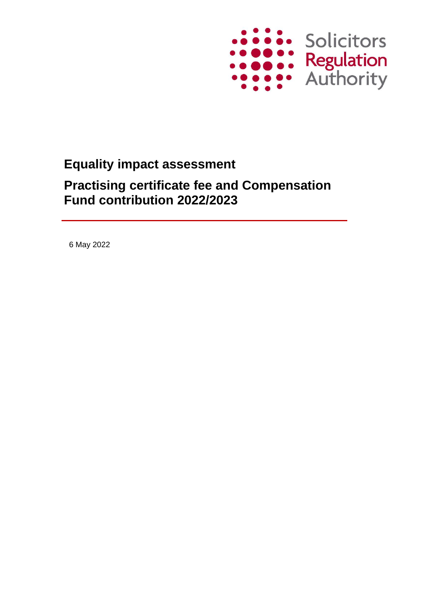

# **Equality impact assessment Practising certificate fee and Compensation Fund contribution 2022/2023**

6 May 2022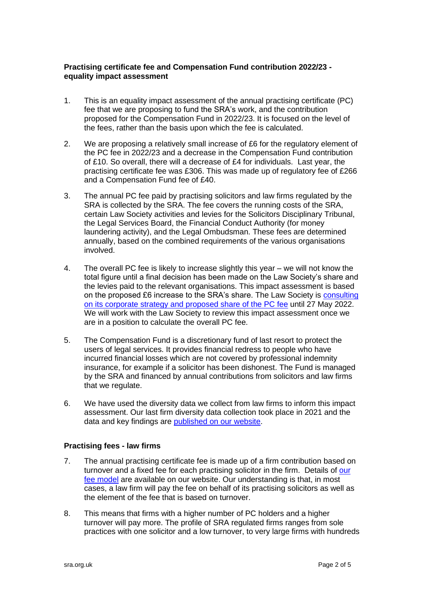#### **Practising certificate fee and Compensation Fund contribution 2022/23 equality impact assessment**

- 1. This is an equality impact assessment of the annual practising certificate (PC) fee that we are proposing to fund the SRA's work, and the contribution proposed for the Compensation Fund in 2022/23. It is focused on the level of the fees, rather than the basis upon which the fee is calculated.
- 2. We are proposing a relatively small increase of £6 for the regulatory element of the PC fee in 2022/23 and a decrease in the Compensation Fund contribution of £10. So overall, there will a decrease of £4 for individuals. Last year, the practising certificate fee was £306. This was made up of regulatory fee of £266 and a Compensation Fund fee of £40.
- 3. The annual PC fee paid by practising solicitors and law firms regulated by the SRA is collected by the SRA. The fee covers the running costs of the SRA, certain Law Society activities and levies for the Solicitors Disciplinary Tribunal, the Legal Services Board, the Financial Conduct Authority (for money laundering activity), and the Legal Ombudsman. These fees are determined annually, based on the combined requirements of the various organisations involved.
- 4. The overall PC fee is likely to increase slightly this year we will not know the total figure until a final decision has been made on the Law Society's share and the levies paid to the relevant organisations. This impact assessment is based on the proposed £6 increase to the SRA's share. The Law Society is [consulting](https://www.lawsociety.org.uk/membership/practising-fee-consultation)  [on its corporate strategy and proposed share of the PC fee](https://www.lawsociety.org.uk/membership/practising-fee-consultation) until 27 May 2022. We will work with the Law Society to review this impact assessment once we are in a position to calculate the overall PC fee.
- 5. The Compensation Fund is a discretionary fund of last resort to protect the users of legal services. It provides financial redress to people who have incurred financial losses which are not covered by professional indemnity insurance, for example if a solicitor has been dishonest. The Fund is managed by the SRA and financed by annual contributions from solicitors and law firms that we regulate.
- 6. We have used the diversity data we collect from law firms to inform this impact assessment. Our last firm diversity data collection took place in 2021 and the data and key findings are [published on](https://www.sra.org.uk/solicitors/resources/diversity-toolkit/law-firm-diversity-tool/) our website.

## **Practising fees - law firms**

- 7. The annual practising certificate fee is made up of a firm contribution based on turnover and a fixed fee for each practising solicitor in the firm. Details of our [fee model](https://www.sra.org.uk/mysra/fees/current-fees/) are available on our website. Our understanding is that, in most cases, a law firm will pay the fee on behalf of its practising solicitors as well as the element of the fee that is based on turnover.
- 8. This means that firms with a higher number of PC holders and a higher turnover will pay more. The profile of SRA regulated firms ranges from sole practices with one solicitor and a low turnover, to very large firms with hundreds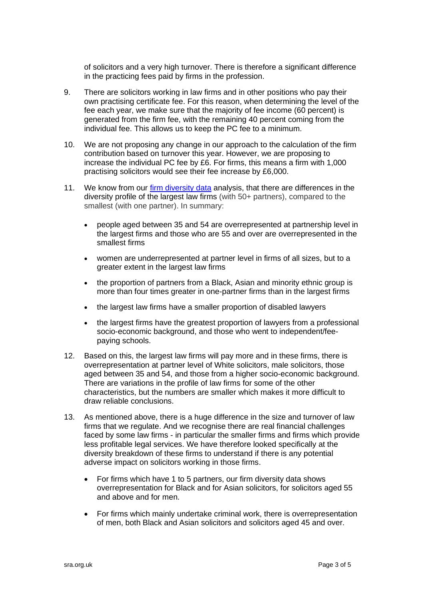of solicitors and a very high turnover. There is therefore a significant difference in the practicing fees paid by firms in the profession.

- 9. There are solicitors working in law firms and in other positions who pay their own practising certificate fee. For this reason, when determining the level of the fee each year, we make sure that the majority of fee income (60 percent) is generated from the firm fee, with the remaining 40 percent coming from the individual fee. This allows us to keep the PC fee to a minimum.
- 10. We are not proposing any change in our approach to the calculation of the firm contribution based on turnover this year. However, we are proposing to increase the individual PC fee by £6. For firms, this means a firm with 1,000 practising solicitors would see their fee increase by £6,000.
- 11. We know from our [firm diversity data](https://www.sra.org.uk/sra/equality-diversity/diversity-profession/diverse-legal-profession/) analysis, that there are differences in the diversity profile of the largest law firms (with 50+ partners), compared to the smallest (with one partner). In summary:
	- people aged between 35 and 54 are overrepresented at partnership level in the largest firms and those who are 55 and over are overrepresented in the smallest firms
	- women are underrepresented at partner level in firms of all sizes, but to a greater extent in the largest law firms
	- the proportion of partners from a Black, Asian and minority ethnic group is more than four times greater in one-partner firms than in the largest firms
	- the largest law firms have a smaller proportion of disabled lawyers
	- the largest firms have the greatest proportion of lawyers from a professional socio-economic background, and those who went to independent/feepaying schools.
- 12. Based on this, the largest law firms will pay more and in these firms, there is overrepresentation at partner level of White solicitors, male solicitors, those aged between 35 and 54, and those from a higher socio-economic background. There are variations in the profile of law firms for some of the other characteristics, but the numbers are smaller which makes it more difficult to draw reliable conclusions.
- 13. As mentioned above, there is a huge difference in the size and turnover of law firms that we regulate. And we recognise there are real financial challenges faced by some law firms - in particular the smaller firms and firms which provide less profitable legal services. We have therefore looked specifically at the diversity breakdown of these firms to understand if there is any potential adverse impact on solicitors working in those firms.
	- For firms which have 1 to 5 partners, our firm diversity data shows overrepresentation for Black and for Asian solicitors, for solicitors aged 55 and above and for men.
	- For firms which mainly undertake criminal work, there is overrepresentation of men, both Black and Asian solicitors and solicitors aged 45 and over.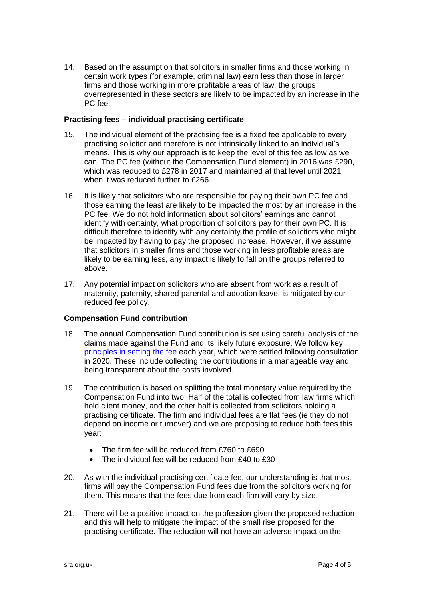14. Based on the assumption that solicitors in smaller firms and those working in certain work types (for example, criminal law) earn less than those in larger firms and those working in more profitable areas of law, the groups overrepresented in these sectors are likely to be impacted by an increase in the PC fee.

## **Practising fees – individual practising certificate**

- 15. The individual element of the practising fee is a fixed fee applicable to every practising solicitor and therefore is not intrinsically linked to an individual's means. This is why our approach is to keep the level of this fee as low as we can. The PC fee (without the Compensation Fund element) in 2016 was £290, which was reduced to £278 in 2017 and maintained at that level until 2021 when it was reduced further to £266.
- 16. It is likely that solicitors who are responsible for paying their own PC fee and those earning the least are likely to be impacted the most by an increase in the PC fee. We do not hold information about solicitors' earnings and cannot identify with certainty, what proportion of solicitors pay for their own PC. It is difficult therefore to identify with any certainty the profile of solicitors who might be impacted by having to pay the proposed increase. However, if we assume that solicitors in smaller firms and those working in less profitable areas are likely to be earning less, any impact is likely to fall on the groups referred to above.
- 17. Any potential impact on solicitors who are absent from work as a result of maternity, paternity, shared parental and adoption leave, is mitigated by our reduced fee policy.

## **Compensation Fund contribution**

- 18. The annual Compensation Fund contribution is set using careful analysis of the claims made against the Fund and its likely future exposure. We follow key [principles in setting the fee](https://www.sra.org.uk/mysra/fees/compensation-fund-contribution-level-principles/) each year, which were settled following consultation in 2020. These include collecting the contributions in a manageable way and being transparent about the costs involved.
- 19. The contribution is based on splitting the total monetary value required by the Compensation Fund into two. Half of the total is collected from law firms which hold client money, and the other half is collected from solicitors holding a practising certificate. The firm and individual fees are flat fees (ie they do not depend on income or turnover) and we are proposing to reduce both fees this year:
	- The firm fee will be reduced from £760 to £690
	- The individual fee will be reduced from £40 to £30
- 20. As with the individual practising certificate fee, our understanding is that most firms will pay the Compensation Fund fees due from the solicitors working for them. This means that the fees due from each firm will vary by size.
- 21. There will be a positive impact on the profession given the proposed reduction and this will help to mitigate the impact of the small rise proposed for the practising certificate. The reduction will not have an adverse impact on the